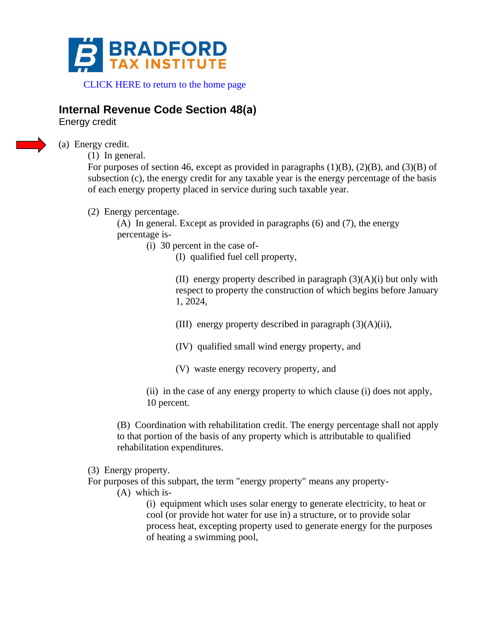

 [CLICK HERE to return to the home pa](https://www.bradfordtaxinstitute.com)ge

# **Internal Revenue Code Section 48(a)**

Energy credit

(a) Energy credit.

(1) In general.

For purposes of section 46, except as provided in paragraphs  $(1)(B)$ ,  $(2)(B)$ , and  $(3)(B)$  of subsection (c), the energy credit for any taxable year is the energy percentage of the basis of each energy property placed in service during such taxable year.

(2) Energy percentage.

(A) In general. Except as provided in paragraphs (6) and (7), the energy percentage is-

(i) 30 percent in the case of-

(I) qualified fuel cell property,

(II) energy property described in paragraph  $(3)(A)(i)$  but only with respect to property the construction of which begins before January 1, 2024,

(III) energy property described in paragraph (3)(A)(ii),

- (IV) qualified small wind energy property, and
- (V) waste energy recovery property, and

(ii) in the case of any energy property to which clause (i) does not apply, 10 percent.

(B) Coordination with rehabilitation credit. The energy percentage shall not apply to that portion of the basis of any property which is attributable to qualified rehabilitation expenditures.

- (3) Energy property.
- For purposes of this subpart, the term "energy property" means any property-
	- (A) which is-

(i) equipment which uses solar energy to generate electricity, to heat or cool (or provide hot water for use in) a structure, or to provide solar process heat, excepting property used to generate energy for the purposes of heating a swimming pool,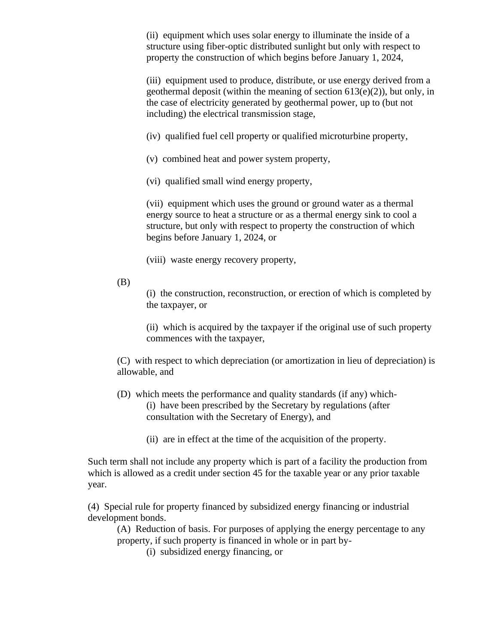(ii) equipment which uses solar energy to illuminate the inside of a structure using fiber-optic distributed sunlight but only with respect to property the construction of which begins before January 1, 2024,

(iii) equipment used to produce, distribute, or use energy derived from a geothermal deposit (within the meaning of section  $613(e)(2)$ ), but only, in the case of electricity generated by geothermal power, up to (but not including) the electrical transmission stage,

(iv) qualified fuel cell property or qualified microturbine property,

- (v) combined heat and power system property,
- (vi) qualified small wind energy property,

(vii) equipment which uses the ground or ground water as a thermal energy source to heat a structure or as a thermal energy sink to cool a structure, but only with respect to property the construction of which begins before January 1, 2024, or

(viii) waste energy recovery property,

(B)

(i) the construction, reconstruction, or erection of which is completed by the taxpayer, or

(ii) which is acquired by the taxpayer if the original use of such property commences with the taxpayer,

(C) with respect to which depreciation (or amortization in lieu of depreciation) is allowable, and

(D) which meets the performance and quality standards (if any) which- (i) have been prescribed by the Secretary by regulations (after consultation with the Secretary of Energy), and

(ii) are in effect at the time of the acquisition of the property.

Such term shall not include any property which is part of a facility the production from which is allowed as a credit under section 45 for the taxable year or any prior taxable year.

(4) Special rule for property financed by subsidized energy financing or industrial development bonds.

(A) Reduction of basis. For purposes of applying the energy percentage to any property, if such property is financed in whole or in part by-

(i) subsidized energy financing, or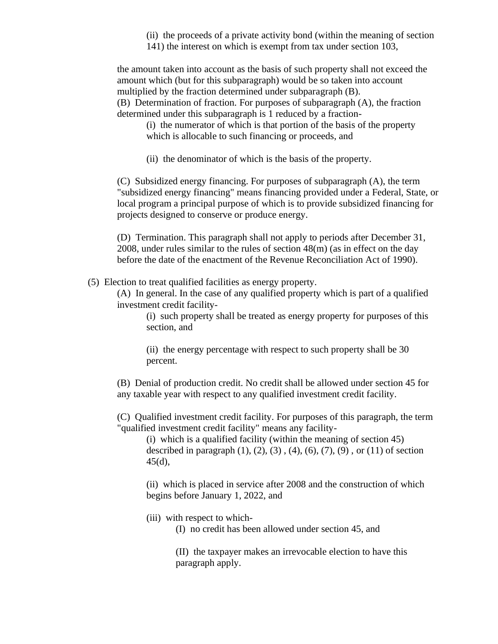- (ii) the proceeds of a private activity bond (within the meaning of section
- 141) the interest on which is exempt from tax under section 103,

the amount taken into account as the basis of such property shall not exceed the amount which (but for this subparagraph) would be so taken into account multiplied by the fraction determined under subparagraph (B). (B) Determination of fraction. For purposes of subparagraph (A), the fraction determined under this subparagraph is 1 reduced by a fraction-

(i) the numerator of which is that portion of the basis of the property which is allocable to such financing or proceeds, and

(ii) the denominator of which is the basis of the property.

(C) Subsidized energy financing. For purposes of subparagraph (A), the term "subsidized energy financing" means financing provided under a Federal, State, or local program a principal purpose of which is to provide subsidized financing for projects designed to conserve or produce energy.

(D) Termination. This paragraph shall not apply to periods after December 31, 2008, under rules similar to the rules of section 48(m) (as in effect on the day before the date of the enactment of the Revenue Reconciliation Act of 1990).

(5) Election to treat qualified facilities as energy property.

(A) In general. In the case of any qualified property which is part of a qualified investment credit facility-

(i) such property shall be treated as energy property for purposes of this section, and

(ii) the energy percentage with respect to such property shall be 30 percent.

(B) Denial of production credit. No credit shall be allowed under section 45 for any taxable year with respect to any qualified investment credit facility.

(C) Qualified investment credit facility. For purposes of this paragraph, the term "qualified investment credit facility" means any facility-

(i) which is a qualified facility (within the meaning of section 45) described in paragraph  $(1)$ ,  $(2)$ ,  $(3)$ ,  $(4)$ ,  $(6)$ ,  $(7)$ ,  $(9)$ , or  $(11)$  of section 45(d),

(ii) which is placed in service after 2008 and the construction of which begins before January 1, 2022, and

(iii) with respect to which-

(I) no credit has been allowed under section 45, and

(II) the taxpayer makes an irrevocable election to have this paragraph apply.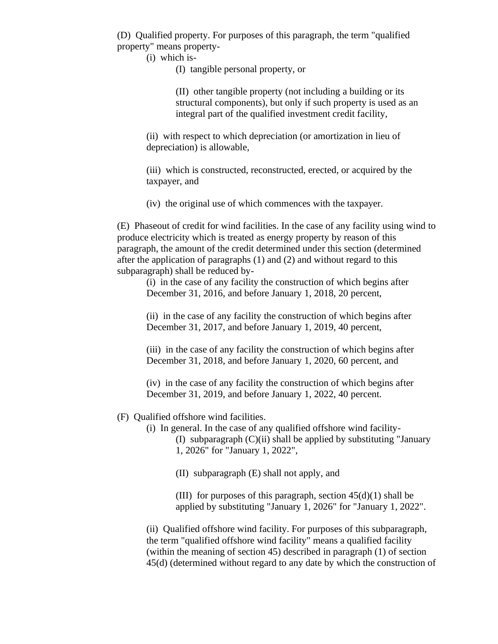(D) Qualified property. For purposes of this paragraph, the term "qualified property" means property-

(i) which is-

(I) tangible personal property, or

(II) other tangible property (not including a building or its structural components), but only if such property is used as an integral part of the qualified investment credit facility,

(ii) with respect to which depreciation (or amortization in lieu of depreciation) is allowable,

(iii) which is constructed, reconstructed, erected, or acquired by the taxpayer, and

(iv) the original use of which commences with the taxpayer.

(E) Phaseout of credit for wind facilities. In the case of any facility using wind to produce electricity which is treated as energy property by reason of this paragraph, the amount of the credit determined under this section (determined after the application of paragraphs (1) and (2) and without regard to this subparagraph) shall be reduced by-

(i) in the case of any facility the construction of which begins after December 31, 2016, and before January 1, 2018, 20 percent,

(ii) in the case of any facility the construction of which begins after December 31, 2017, and before January 1, 2019, 40 percent,

(iii) in the case of any facility the construction of which begins after December 31, 2018, and before January 1, 2020, 60 percent, and

(iv) in the case of any facility the construction of which begins after December 31, 2019, and before January 1, 2022, 40 percent.

- (F) Qualified offshore wind facilities.
	- (i) In general. In the case of any qualified offshore wind facility- (I) subparagraph (C)(ii) shall be applied by substituting "January 1, 2026" for "January 1, 2022",

(II) subparagraph (E) shall not apply, and

(III) for purposes of this paragraph, section  $45(d)(1)$  shall be applied by substituting "January 1, 2026" for "January 1, 2022".

(ii) Qualified offshore wind facility. For purposes of this subparagraph, the term "qualified offshore wind facility" means a qualified facility (within the meaning of section 45) described in paragraph (1) of section 45(d) (determined without regard to any date by which the construction of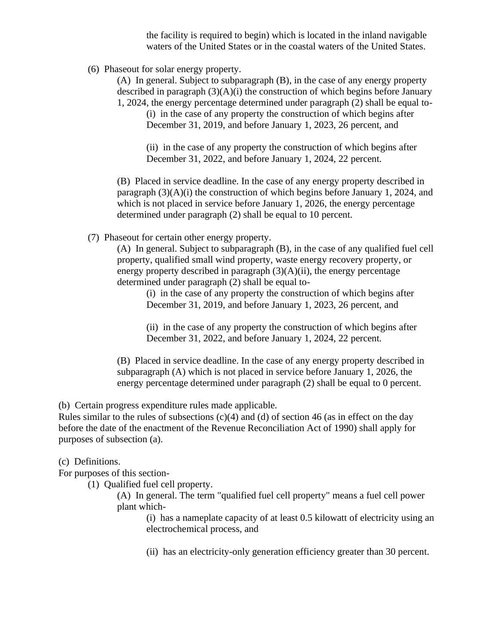the facility is required to begin) which is located in the inland navigable waters of the United States or in the coastal waters of the United States.

(6) Phaseout for solar energy property.

(A) In general. Subject to subparagraph (B), in the case of any energy property described in paragraph  $(3)(A)(i)$  the construction of which begins before January 1, 2024, the energy percentage determined under paragraph (2) shall be equal to-

(i) in the case of any property the construction of which begins after December 31, 2019, and before January 1, 2023, 26 percent, and

(ii) in the case of any property the construction of which begins after December 31, 2022, and before January 1, 2024, 22 percent.

(B) Placed in service deadline. In the case of any energy property described in paragraph  $(3)(A)(i)$  the construction of which begins before January 1, 2024, and which is not placed in service before January 1, 2026, the energy percentage determined under paragraph (2) shall be equal to 10 percent.

(7) Phaseout for certain other energy property.

(A) In general. Subject to subparagraph (B), in the case of any qualified fuel cell property, qualified small wind property, waste energy recovery property, or energy property described in paragraph  $(3)(A)(ii)$ , the energy percentage determined under paragraph (2) shall be equal to-

(i) in the case of any property the construction of which begins after December 31, 2019, and before January 1, 2023, 26 percent, and

(ii) in the case of any property the construction of which begins after December 31, 2022, and before January 1, 2024, 22 percent.

(B) Placed in service deadline. In the case of any energy property described in subparagraph (A) which is not placed in service before January 1, 2026, the energy percentage determined under paragraph (2) shall be equal to 0 percent.

(b) Certain progress expenditure rules made applicable.

Rules similar to the rules of subsections  $(c)(4)$  and  $(d)$  of section 46 (as in effect on the day before the date of the enactment of the Revenue Reconciliation Act of 1990) shall apply for purposes of subsection (a).

(c) Definitions.

For purposes of this section-

(1) Qualified fuel cell property.

(A) In general. The term "qualified fuel cell property" means a fuel cell power plant which-

(i) has a nameplate capacity of at least 0.5 kilowatt of electricity using an electrochemical process, and

(ii) has an electricity-only generation efficiency greater than 30 percent.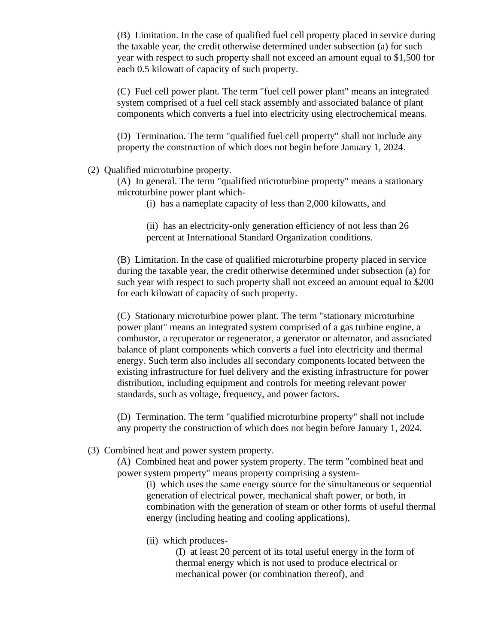(B) Limitation. In the case of qualified fuel cell property placed in service during the taxable year, the credit otherwise determined under subsection (a) for such year with respect to such property shall not exceed an amount equal to \$1,500 for each 0.5 kilowatt of capacity of such property.

(C) Fuel cell power plant. The term "fuel cell power plant" means an integrated system comprised of a fuel cell stack assembly and associated balance of plant components which converts a fuel into electricity using electrochemical means.

(D) Termination. The term "qualified fuel cell property" shall not include any property the construction of which does not begin before January 1, 2024.

## (2) Qualified microturbine property.

(A) In general. The term "qualified microturbine property" means a stationary microturbine power plant which-

(i) has a nameplate capacity of less than 2,000 kilowatts, and

(ii) has an electricity-only generation efficiency of not less than 26 percent at International Standard Organization conditions.

(B) Limitation. In the case of qualified microturbine property placed in service during the taxable year, the credit otherwise determined under subsection (a) for such year with respect to such property shall not exceed an amount equal to \$200 for each kilowatt of capacity of such property.

(C) Stationary microturbine power plant. The term "stationary microturbine power plant" means an integrated system comprised of a gas turbine engine, a combustor, a recuperator or regenerator, a generator or alternator, and associated balance of plant components which converts a fuel into electricity and thermal energy. Such term also includes all secondary components located between the existing infrastructure for fuel delivery and the existing infrastructure for power distribution, including equipment and controls for meeting relevant power standards, such as voltage, frequency, and power factors.

(D) Termination. The term "qualified microturbine property" shall not include any property the construction of which does not begin before January 1, 2024.

(3) Combined heat and power system property.

(A) Combined heat and power system property. The term "combined heat and power system property" means property comprising a system-

(i) which uses the same energy source for the simultaneous or sequential generation of electrical power, mechanical shaft power, or both, in combination with the generation of steam or other forms of useful thermal energy (including heating and cooling applications),

(ii) which produces-

(I) at least 20 percent of its total useful energy in the form of thermal energy which is not used to produce electrical or mechanical power (or combination thereof), and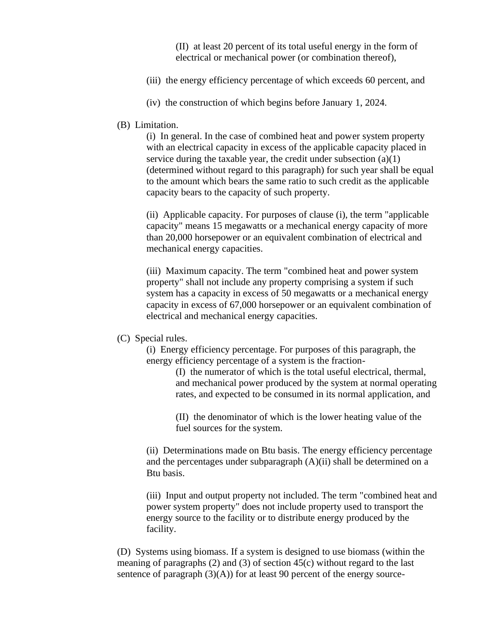(II) at least 20 percent of its total useful energy in the form of electrical or mechanical power (or combination thereof),

- (iii) the energy efficiency percentage of which exceeds 60 percent, and
- (iv) the construction of which begins before January 1, 2024.

### (B) Limitation.

(i) In general. In the case of combined heat and power system property with an electrical capacity in excess of the applicable capacity placed in service during the taxable year, the credit under subsection (a)(1) (determined without regard to this paragraph) for such year shall be equal to the amount which bears the same ratio to such credit as the applicable capacity bears to the capacity of such property.

(ii) Applicable capacity. For purposes of clause (i), the term "applicable capacity" means 15 megawatts or a mechanical energy capacity of more than 20,000 horsepower or an equivalent combination of electrical and mechanical energy capacities.

(iii) Maximum capacity. The term "combined heat and power system property" shall not include any property comprising a system if such system has a capacity in excess of 50 megawatts or a mechanical energy capacity in excess of 67,000 horsepower or an equivalent combination of electrical and mechanical energy capacities.

## (C) Special rules.

(i) Energy efficiency percentage. For purposes of this paragraph, the energy efficiency percentage of a system is the fraction-

> (I) the numerator of which is the total useful electrical, thermal, and mechanical power produced by the system at normal operating rates, and expected to be consumed in its normal application, and

(II) the denominator of which is the lower heating value of the fuel sources for the system.

(ii) Determinations made on Btu basis. The energy efficiency percentage and the percentages under subparagraph  $(A)(ii)$  shall be determined on a Btu basis.

(iii) Input and output property not included. The term "combined heat and power system property" does not include property used to transport the energy source to the facility or to distribute energy produced by the facility.

(D) Systems using biomass. If a system is designed to use biomass (within the meaning of paragraphs (2) and (3) of section 45(c) without regard to the last sentence of paragraph  $(3)(A)$  for at least 90 percent of the energy source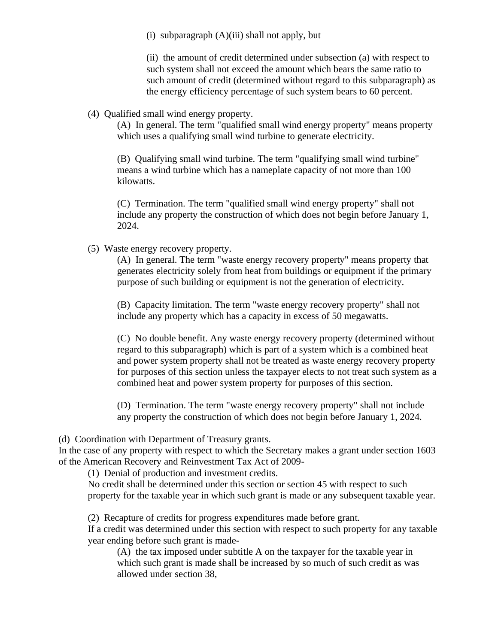(i) subparagraph  $(A)(iii)$  shall not apply, but

(ii) the amount of credit determined under subsection (a) with respect to such system shall not exceed the amount which bears the same ratio to such amount of credit (determined without regard to this subparagraph) as the energy efficiency percentage of such system bears to 60 percent.

(4) Qualified small wind energy property.

(A) In general. The term "qualified small wind energy property" means property which uses a qualifying small wind turbine to generate electricity.

(B) Qualifying small wind turbine. The term "qualifying small wind turbine" means a wind turbine which has a nameplate capacity of not more than 100 kilowatts.

(C) Termination. The term "qualified small wind energy property" shall not include any property the construction of which does not begin before January 1, 2024.

(5) Waste energy recovery property.

(A) In general. The term "waste energy recovery property" means property that generates electricity solely from heat from buildings or equipment if the primary purpose of such building or equipment is not the generation of electricity.

(B) Capacity limitation. The term "waste energy recovery property" shall not include any property which has a capacity in excess of 50 megawatts.

(C) No double benefit. Any waste energy recovery property (determined without regard to this subparagraph) which is part of a system which is a combined heat and power system property shall not be treated as waste energy recovery property for purposes of this section unless the taxpayer elects to not treat such system as a combined heat and power system property for purposes of this section.

(D) Termination. The term "waste energy recovery property" shall not include any property the construction of which does not begin before January 1, 2024.

(d) Coordination with Department of Treasury grants.

In the case of any property with respect to which the Secretary makes a grant under section 1603 of the American Recovery and Reinvestment Tax Act of 2009-

(1) Denial of production and investment credits.

No credit shall be determined under this section or section 45 with respect to such property for the taxable year in which such grant is made or any subsequent taxable year.

(2) Recapture of credits for progress expenditures made before grant.

If a credit was determined under this section with respect to such property for any taxable year ending before such grant is made-

(A) the tax imposed under subtitle A on the taxpayer for the taxable year in which such grant is made shall be increased by so much of such credit as was allowed under section 38,